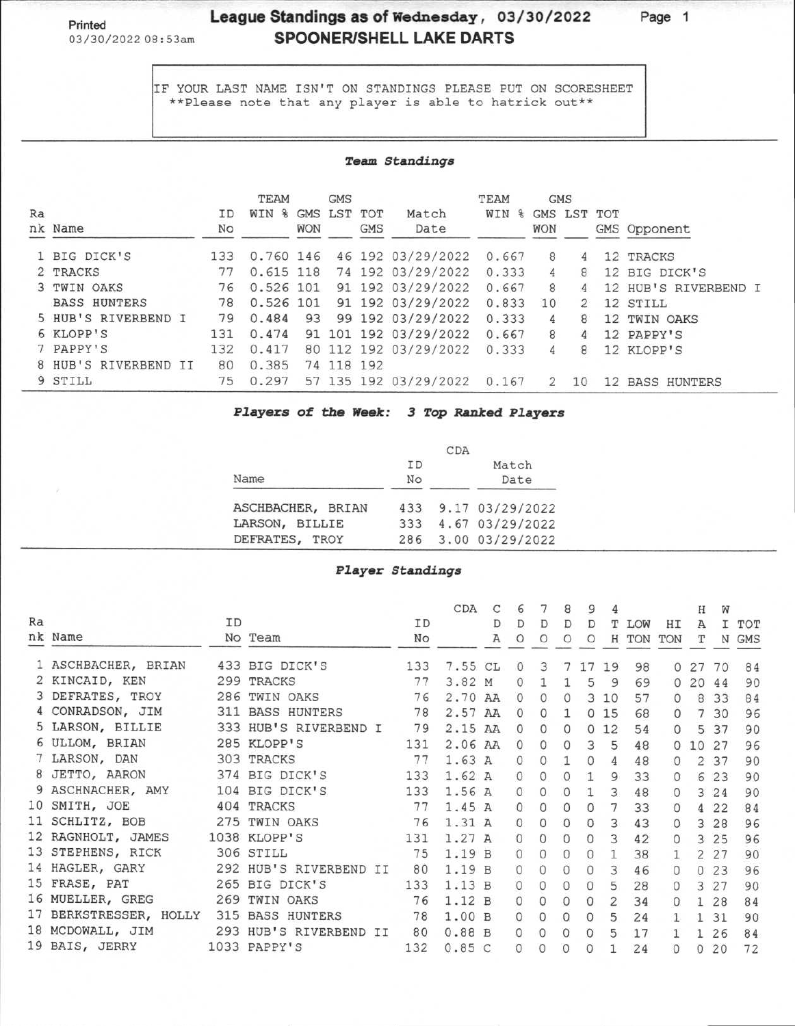## **Printed League Standings as of Wednesday, 03/30/2022 Page 1**  03/30/2022 08:53am **SPOONER/SHELL LAKE DARTS**

IF YOUR LAST NAME ISN'T ON STANDINGS PLEASE PUT ON SCORESHEET \*\*Please note that any player is able to hatrick out\*\*

## **Team Standings**

|    |                      |     | TEAM      |            | <b>GMS</b>  |            |                       | TEAM  | <b>GMS</b> |               |          |                      |
|----|----------------------|-----|-----------|------------|-------------|------------|-----------------------|-------|------------|---------------|----------|----------------------|
| Ra |                      | ID  | WIN %     |            | GMS LST TOT |            | Match                 | WIN % |            | GMS LST TOT   |          |                      |
|    | nk Name              | No  |           | <b>WON</b> |             | <b>GMS</b> | Date                  |       | <b>WON</b> |               |          | GMS Opponent         |
|    | 1 BIG DICK'S         | 133 | 0.760 146 |            |             |            | 46 192 03/29/2022     | 0.667 | 8          | 4             |          | 12 TRACKS            |
|    | 2 TRACKS             | 77  | 0.615 118 |            |             |            | 74 192 03/29/2022     | 0.333 | 4          | 8             |          | 12 BIG DICK'S        |
|    | 3 TWIN OAKS          | 76  | 0.526 101 |            |             |            | 91 192 03/29/2022     | 0.667 | 8          | 4             |          | 12 HUB'S RIVERBEND I |
|    | <b>BASS HUNTERS</b>  | 78  | 0.526 101 |            |             |            | 91 192 03/29/2022     | 0.833 | 10         | $\mathcal{P}$ |          | 12 STILL             |
|    | 5 HUB'S RIVERBEND I  | 79  | 0.484     | 93         |             |            | 99 192 03/29/2022     | 0.333 | 4          | 8             |          | 12 TWIN OAKS         |
|    | 6 KLOPP'S            | 131 | 0.474     |            |             |            | 91 101 192 03/29/2022 | 0.667 | 8          | 4             |          | 12 PAPPY'S           |
|    | 7 PAPPY'S            | 132 | 0.417     |            |             |            | 80 112 192 03/29/2022 | 0.333 | 4          | 8             |          | 12 KLOPP'S           |
|    | 8 HUB'S RIVERBEND II | 80  | 0.385     |            | 74 118 192  |            |                       |       |            |               |          |                      |
|    | 9 STILL              | 75  | 0.297     |            |             |            | 57 135 192 03/29/2022 | 0.167 | 2          | 10            | $12^{1}$ | <b>BASS HUNTERS</b>  |

**Players of the Week: 3 Top Ranked Players** 

|                   |           | CDA |                     |
|-------------------|-----------|-----|---------------------|
|                   | <b>TD</b> |     | Match               |
| Name              | No        |     | Date                |
| ASCHBACHER, BRIAN |           |     | 433 9.17 03/29/2022 |
| LARSON, BILLIE    |           |     | 333 4.67 03/29/2022 |
| DEFRATES, TROY    |           |     | 286 3.00 03/29/2022 |

## **Player Standings**

|    |                        |    |                        |     | CDA     | C | 6        |              | 8        | 9        |                 |            |          | Н  | W    |       |
|----|------------------------|----|------------------------|-----|---------|---|----------|--------------|----------|----------|-----------------|------------|----------|----|------|-------|
| Ra |                        | ID |                        | ID  |         | D | D        | D            | D        | D        | Т               | <b>LOW</b> | НI       | Α  |      | I TOT |
|    | nk Name                |    | No Team                | No  |         | Α | $\circ$  | O            | $\circ$  | $\circ$  |                 | H TON      | TON      | т  |      | N GMS |
|    | 1 ASCHBACHER, BRIAN    |    | 433 BIG DICK'S         | 133 | 7.55 CL |   | $\Omega$ | 3            |          | 17       | 19              | 98         | $\circ$  | 27 | 70   | 84    |
|    | 2 KINCAID, KEN         |    | 299 TRACKS             | 77  | 3.82 M  |   | $\Omega$ |              |          | 5        | 9               | 69         | $\circ$  | 20 | 44   | 90    |
|    | 3 DEFRATES, TROY       |    | 286 TWIN OAKS          | 76  | 2.70 AA |   | $\Omega$ | $\Omega$     | $\Omega$ |          | 310             | 57         | $\Omega$ | 8  | 33   | 84    |
|    | 4 CONRADSON, JIM       |    | 311 BASS HUNTERS       | 78  | 2.57 AA |   | $\Omega$ | $\Omega$     | 1        |          | 0 <sub>15</sub> | 68         | $\Omega$ |    | 7 30 | 96    |
|    | 5 LARSON, BILLIE       |    | 333 HUB'S RIVERBEND I  | 79  | 2.15 AA |   | $\Omega$ | $\Omega$     | 0        | $\Omega$ | 12              | 54         | $\Omega$ | 5  | 37   | 90    |
|    | 6 ULLOM, BRIAN         |    | 285 KLOPP'S            | 131 | 2.06 AA |   | $\circ$  | $\Omega$     | $\Omega$ | 3        | 5               | 48         | $\Omega$ | 10 | 27   | 96    |
|    | 7 LARSON, DAN          |    | 303 TRACKS             | 77  | 1.63A   |   | 0        | $\Omega$     | 1        | $\Omega$ | 4               | 48         |          | 2  | 37   | 90    |
|    | 8 JETTO, AARON         |    | 374 BIG DICK'S         | 133 | 1.62A   |   |          | $\Omega$     |          |          | 9               | 33         | 0        | 6  | 23   | 90    |
|    | 9 ASCHNACHER, AMY      |    | 104 BIG DICK'S         | 133 | 1.56 A  |   | $\Omega$ | 0            | 0        |          | 3               | 48         | 0        | 3  | 24   | 90    |
|    | 10 SMITH, JOE          |    | 404 TRACKS             | 77  | 1.45A   |   | $\Omega$ | $\Omega$     | $\Omega$ | $\Omega$ |                 | 33         | 0        | 4  | 22   | 84    |
|    | 11 SCHLITZ, BOB        |    | 275 TWIN OAKS          | 76  | 1.31A   |   | $\Omega$ | $\Omega$     | 0        | $\Omega$ | 3               | 43         |          | 3  | 28   | 96    |
|    | 12 RAGNHOLT, JAMES     |    | 1038 KLOPP'S           | 131 | 1.27A   |   | $\Omega$ | $\Omega$     | 0        | $\Omega$ | 3               | 42         | $\Omega$ |    | 3 25 | 96    |
|    | 13 STEPHENS, RICK      |    | 306 STILL              | 75  | 1.19B   |   | $\Omega$ | $\Omega$     | 0        | $\Omega$ |                 | 38         |          | 2  | 27   | 90    |
|    | 14 HAGLER, GARY        |    | 292 HUB'S RIVERBEND II | 80  | 1.19B   |   | $\Omega$ | $\Omega$     | $\alpha$ | $\Omega$ | 3               | 46         | $\Omega$ | 0  | 23   | 96    |
|    | 15 FRASE, PAT          |    | 265 BIG DICK'S         | 133 | 1.13B   |   | $\Omega$ | 0            | 0        | $\Omega$ | 5               | 28         | 0        |    | 3 27 | 90    |
|    | 16 MUELLER, GREG       |    | 269 TWIN OAKS          | 76  | 1.12B   |   |          | $\Omega$     | $\Omega$ | $\Omega$ | 2               | 34         | 0        |    | 28   | 84    |
|    | 17 BERKSTRESSER, HOLLY |    | 315 BASS HUNTERS       | 78  | 1.00B   |   | $\Omega$ | $\mathbf{0}$ | 0        | $\Omega$ | 5               | 24         |          |    | 31   | 90    |
|    | 18 MCDOWALL, JIM       |    | 293 HUB'S RIVERBEND II | 80  | 0.88B   |   | $\Omega$ | 0            | 0        | 0        | 5               | 17         |          |    | 26   | 84    |
|    | 19 BAIS, JERRY         |    | 1033 PAPPY'S           | 132 | 0.85C   |   |          |              |          |          |                 | 24         |          | 0  | 20   | 72    |